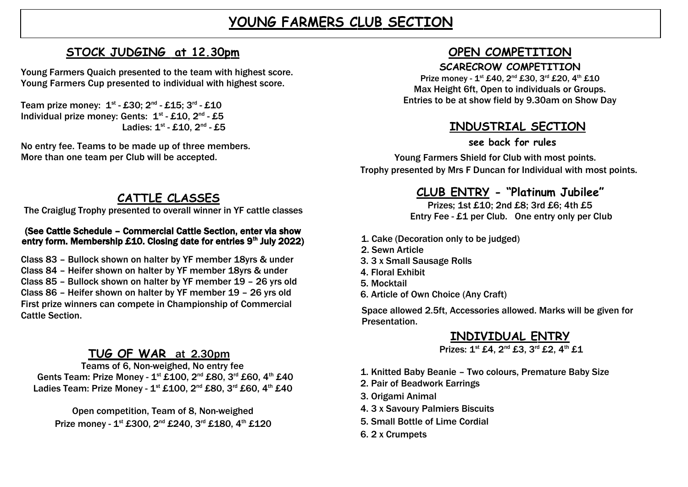# **YOUNG FARMERS CLUB SECTION**

## **STOCK JUDGING** at 12.30pm

Young Farmers Quaich presented to the team with highest score. Young Farmers Cup presented to individual with highest score.

Team prize money:  $\mathbf{1}^{\text{st}}$  -  $\mathbf{\pounds}30;$   $\mathbf{2}^{\text{nd}}$  -  $\mathbf{\pounds}15;$   $\mathbf{3}^{\text{rd}}$  -  $\mathbf{\pounds}10$ Individual prize money: Gents:  $1<sup>st</sup> - £10$ ,  $2<sup>nd</sup> - £5$ Ladies:  $1^{st}$  - £10,  $2^{nd}$  - £5

No entry fee. Teams to be made up of three members. More than one team per Club will be accepted.

## **CATTLE CLASSES**

The Craiglug Trophy presented to overall winner in YF cattle classes

#### (See Cattle Schedule – Commercial Cattle Section, enter via show entry form. Membership £10. Closing date for entries  $9<sup>th</sup>$  July 2022)

Class 83 – Bullock shown on halter by YF member 18yrs & under Class 84 – Heifer shown on halter by YF member 18yrs & under Class 85 – Bullock shown on halter by YF member 19 – 26 yrs old Class 86 – Heifer shown on halter by YF member 19 – 26 yrs old First prize winners can compete in Championship of Commercial Cattle Section.

## **TUG OF WAR** at 2.30pm

Teams of 6, Non-weighed, No entry fee Gents Team: Prize Money - 1<sup>st</sup> £100, 2<sup>nd</sup> £80, 3<sup>rd</sup> £60, 4<sup>th</sup> £40 Ladies Team: Prize Money -  $1^{st}$  £100,  $2^{nd}$  £80,  $3^{rd}$  £60,  $4^{th}$  £40

Open competition, Team of 8, Non-weighed Prize money - 1<sup>st</sup> £300, 2<sup>nd</sup> £240, 3<sup>rd</sup> £180, 4<sup>th</sup> £120

## **OPEN COMPETITION**

#### **SCARECROW COMPETITION**

Prize money -  $1^{st}$  £40,  $2^{nd}$  £30,  $3^{rd}$  £20,  $4^{th}$  £10 Max Height 6ft, Open to individuals or Groups. Entries to be at show field by 9.30am on Show Day

## **INDUSTRIAL SECTION**

**see back for rules**

Young Farmers Shield for Club with most points. Trophy presented by Mrs F Duncan for Individual with most points.

## **CLU B EN T RY - "Platinum Jubilee"**

Prizes; 1st £10; 2nd £8; 3rd £6; 4th £5 Entry Fee - £1 per Club. One entry only per Club

- 1. Cake (Decoration only to be judged)
- 2. Sewn Article
- 3. 3 x Small Sausage Rolls
- 4. Floral Exhibit
- 5. Mocktail
- 6. Article of Own Choice (Any Craft)

Space allowed 2.5ft, Accessories allowed. Marks will be given for Presentation.

## **INDIVIDUAL ENTRY**

Prizes: 1<sup>st</sup> £4, 2<sup>nd</sup> £3, 3<sup>rd</sup> £2, 4<sup>th</sup> £1

- 1. Knitted Baby Beanie Two colours, Premature Baby Size
- 2. Pair of Beadwork Earrings
- 3. Origami Animal
- 4. 3 x Savoury Palmiers Biscuits
- 5. Small Bottle of Lime Cordial
- 6. 2 x Crumpets